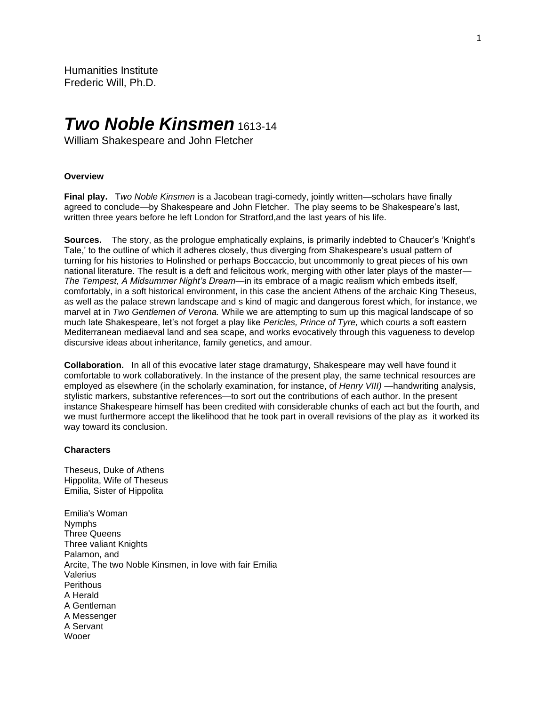# *Two Noble Kinsmen* 1613-14

William Shakespeare and John Fletcher

### **Overview**

**Final play.** T*wo Noble Kinsmen* is a Jacobean tragi-comedy, jointly written—scholars have finally agreed to conclude—by Shakespeare and John Fletcher. The play seems to be Shakespeare's last, written three years before he left London for Stratford,and the last years of his life.

**Sources.** The story, as the prologue emphatically explains, is primarily indebted to Chaucer's 'Knight's Tale,' to the outline of which it adheres closely, thus diverging from Shakespeare's usual pattern of turning for his histories to Holinshed or perhaps Boccaccio, but uncommonly to great pieces of his own national literature. The result is a deft and felicitous work, merging with other later plays of the master— *The Tempest, A Midsummer Night's Dream*—in its embrace of a magic realism which embeds itself, comfortably, in a soft historical environment, in this case the ancient Athens of the archaic King Theseus, as well as the palace strewn landscape and s kind of magic and dangerous forest which, for instance, we marvel at in *Two Gentlemen of Verona.* While we are attempting to sum up this magical landscape of so much late Shakespeare, let's not forget a play like *Pericles, Prince of Tyre,* which courts a soft eastern Mediterranean mediaeval land and sea scape, and works evocatively through this vagueness to develop discursive ideas about inheritance, family genetics, and amour.

**Collaboration.** In all of this evocative later stage dramaturgy, Shakespeare may well have found it comfortable to work collaboratively. In the instance of the present play, the same technical resources are employed as elsewhere (in the scholarly examination, for instance, of *Henry VIII)* —handwriting analysis, stylistic markers, substantive references—to sort out the contributions of each author. In the present instance Shakespeare himself has been credited with considerable chunks of each act but the fourth, and we must furthermore accept the likelihood that he took part in overall revisions of the play as it worked its way toward its conclusion.

#### **Characters**

Theseus, Duke of Athens Hippolita, Wife of Theseus Emilia, Sister of Hippolita

Emilia's Woman Nymphs Three Queens Three valiant Knights Palamon, and Arcite, The two Noble Kinsmen, in love with fair Emilia Valerius **Perithous** A Herald A Gentleman A Messenger A Servant Wooer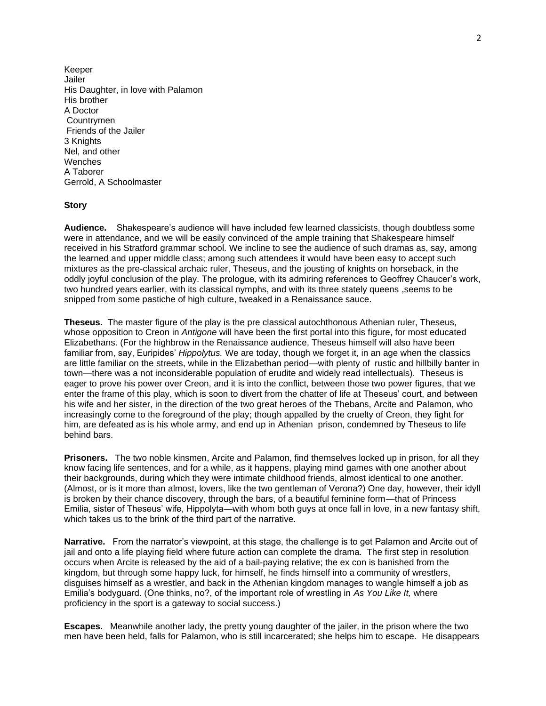Keeper Jailer His Daughter, in love with Palamon His brother A Doctor Countrymen Friends of the Jailer 3 Knights Nel, and other Wenches A Taborer Gerrold, A Schoolmaster

## **Story**

**Audience.** Shakespeare's audience will have included few learned classicists, though doubtless some were in attendance, and we will be easily convinced of the ample training that Shakespeare himself received in his Stratford grammar school. We incline to see the audience of such dramas as, say, among the learned and upper middle class; among such attendees it would have been easy to accept such mixtures as the pre-classical archaic ruler, Theseus, and the jousting of knights on horseback, in the oddly joyful conclusion of the play. The prologue, with its admiring references to Geoffrey Chaucer's work, two hundred years earlier, with its classical nymphs, and with its three stately queens ,seems to be snipped from some pastiche of high culture, tweaked in a Renaissance sauce.

**Theseus.** The master figure of the play is the pre classical autochthonous Athenian ruler, Theseus, whose opposition to Creon in *Antigone* will have been the first portal into this figure, for most educated Elizabethans. (For the highbrow in the Renaissance audience, Theseus himself will also have been familiar from, say, Euripides' *Hippolytus.* We are today, though we forget it, in an age when the classics are little familiar on the streets, while in the Elizabethan period—with plenty of rustic and hillbilly banter in town—there was a not inconsiderable population of erudite and widely read intellectuals). Theseus is eager to prove his power over Creon, and it is into the conflict, between those two power figures, that we enter the frame of this play, which is soon to divert from the chatter of life at Theseus' court, and between his wife and her sister, in the direction of the two great heroes of the Thebans, Arcite and Palamon, who increasingly come to the foreground of the play; though appalled by the cruelty of Creon, they fight for him, are defeated as is his whole army, and end up in Athenian prison, condemned by Theseus to life behind bars.

**Prisoners.** The two noble kinsmen, Arcite and Palamon, find themselves locked up in prison, for all they know facing life sentences, and for a while, as it happens, playing mind games with one another about their backgrounds, during which they were intimate childhood friends, almost identical to one another. (Almost, or is it more than almost, lovers, like the two gentleman of Verona?) One day, however, their idyll is broken by their chance discovery, through the bars, of a beautiful feminine form—that of Princess Emilia, sister of Theseus' wife, Hippolyta—with whom both guys at once fall in love, in a new fantasy shift, which takes us to the brink of the third part of the narrative.

**Narrative.** From the narrator's viewpoint, at this stage, the challenge is to get Palamon and Arcite out of jail and onto a life playing field where future action can complete the drama. The first step in resolution occurs when Arcite is released by the aid of a bail-paying relative; the ex con is banished from the kingdom, but through some happy luck, for himself, he finds himself into a community of wrestlers, disguises himself as a wrestler, and back in the Athenian kingdom manages to wangle himself a job as Emilia's bodyguard. (One thinks, no?, of the important role of wrestling in *As You Like It,* where proficiency in the sport is a gateway to social success.)

**Escapes.** Meanwhile another lady, the pretty young daughter of the jailer, in the prison where the two men have been held, falls for Palamon, who is still incarcerated; she helps him to escape. He disappears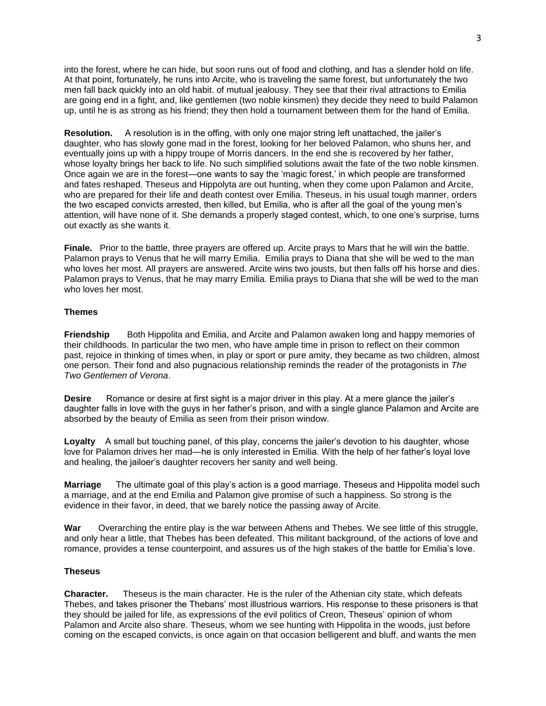into the forest, where he can hide, but soon runs out of food and clothing, and has a slender hold on life. At that point, fortunately, he runs into Arcite, who is traveling the same forest, but unfortunately the two men fall back quickly into an old habit. of mutual jealousy. They see that their rival attractions to Emilia are going end in a fight, and, like gentlemen (two noble kinsmen) they decide they need to build Palamon up, until he is as strong as his friend; they then hold a tournament between them for the hand of Emilia.

**Resolution.** A resolution is in the offing, with only one major string left unattached, the jailer's daughter, who has slowly gone mad in the forest, looking for her beloved Palamon, who shuns her, and eventually joins up with a hippy troupe of Morris dancers. In the end she is recovered by her father, whose loyalty brings her back to life. No such simplified solutions await the fate of the two noble kinsmen. Once again we are in the forest—one wants to say the 'magic forest,' in which people are transformed and fates reshaped. Theseus and Hippolyta are out hunting, when they come upon Palamon and Arcite, who are prepared for their life and death contest over Emilia. Theseus, in his usual tough manner, orders the two escaped convicts arrested, then killed, but Emilia, who is after all the goal of the young men's attention, will have none of it. She demands a properly staged contest, which, to one one's surprise, turns out exactly as she wants it.

**Finale.** Prior to the battle, three prayers are offered up. Arcite prays to Mars that he will win the battle. Palamon prays to Venus that he will marry Emilia. Emilia prays to Diana that she will be wed to the man who loves her most. All prayers are answered. Arcite wins two jousts, but then falls off his horse and dies. Palamon prays to Venus, that he may marry Emilia. Emilia prays to Diana that she will be wed to the man who loves her most.

#### **Themes**

**Friendship** Both Hippolita and Emilia, and Arcite and Palamon awaken long and happy memories of their childhoods. In particular the two men, who have ample time in prison to reflect on their common past, rejoice in thinking of times when, in play or sport or pure amity, they became as two children, almost one person. Their fond and also pugnacious relationship reminds the reader of the protagonists in *The Two Gentlemen of Verona*.

**Desire** • Romance or desire at first sight is a major driver in this play. At a mere glance the jailer's daughter falls in love with the guys in her father's prison, and with a single glance Palamon and Arcite are absorbed by the beauty of Emilia as seen from their prison window.

**Loyalty** A small but touching panel, of this play, concerns the jailer's devotion to his daughter, whose love for Palamon drives her mad—he is only interested in Emilia. With the help of her father's loyal love and healing, the jailoer's daughter recovers her sanity and well being.

**Marriage** The ultimate goal of this play's action is a good marriage. Theseus and Hippolita model such a marriage, and at the end Emilia and Palamon give promise of such a happiness. So strong is the evidence in their favor, in deed, that we barely notice the passing away of Arcite.

War Overarching the entire play is the war between Athens and Thebes. We see little of this struggle, and only hear a little, that Thebes has been defeated. This militant background, of the actions of love and romance, provides a tense counterpoint, and assures us of the high stakes of the battle for Emilia's love.

#### **Theseus**

**Character.** Theseus is the main character. He is the ruler of the Athenian city state, which defeats Thebes, and takes prisoner the Thebans' most illustrious warriors. His response to these prisoners is that they should be jailed for life, as expressions of the evil politics of Creon, Theseus' opinion of whom Palamon and Arcite also share. Theseus, whom we see hunting with Hippolita in the woods, just before coming on the escaped convicts, is once again on that occasion belligerent and bluff, and wants the men